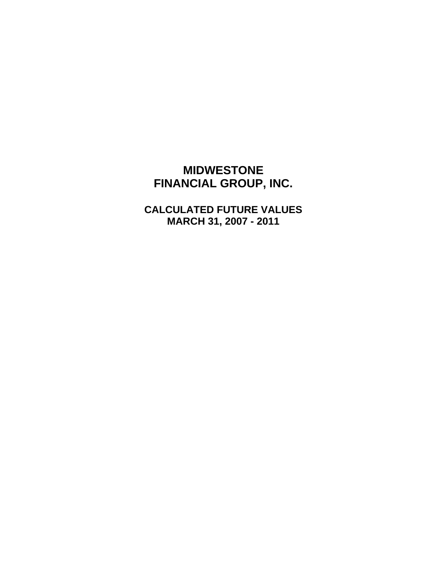# **MIDWESTONE FINANCIAL GROUP, INC.**

**CALCULATED FUTURE VALUES MARCH 31, 2007 - 2011**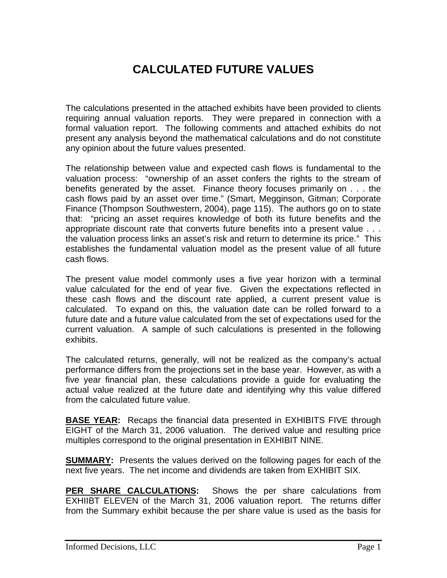# **CALCULATED FUTURE VALUES**

The calculations presented in the attached exhibits have been provided to clients requiring annual valuation reports. They were prepared in connection with a formal valuation report. The following comments and attached exhibits do not present any analysis beyond the mathematical calculations and do not constitute any opinion about the future values presented.

The relationship between value and expected cash flows is fundamental to the valuation process: "ownership of an asset confers the rights to the stream of benefits generated by the asset. Finance theory focuses primarily on . . . the cash flows paid by an asset over time." (Smart, Megginson, Gitman; Corporate Finance (Thompson Southwestern, 2004), page 115). The authors go on to state that: "pricing an asset requires knowledge of both its future benefits and the appropriate discount rate that converts future benefits into a present value . . . the valuation process links an asset's risk and return to determine its price." This establishes the fundamental valuation model as the present value of all future cash flows.

The present value model commonly uses a five year horizon with a terminal value calculated for the end of year five. Given the expectations reflected in these cash flows and the discount rate applied, a current present value is calculated. To expand on this, the valuation date can be rolled forward to a future date and a future value calculated from the set of expectations used for the current valuation. A sample of such calculations is presented in the following exhibits.

The calculated returns, generally, will not be realized as the company's actual performance differs from the projections set in the base year. However, as with a five year financial plan, these calculations provide a guide for evaluating the actual value realized at the future date and identifying why this value differed from the calculated future value.

**BASE YEAR:** Recaps the financial data presented in EXHIBITS FIVE through EIGHT of the March 31, 2006 valuation. The derived value and resulting price multiples correspond to the original presentation in EXHIBIT NINE.

**SUMMARY:** Presents the values derived on the following pages for each of the next five years. The net income and dividends are taken from EXHIBIT SIX.

**PER SHARE CALCULATIONS:** Shows the per share calculations from EXHIIBT ELEVEN of the March 31, 2006 valuation report. The returns differ from the Summary exhibit because the per share value is used as the basis for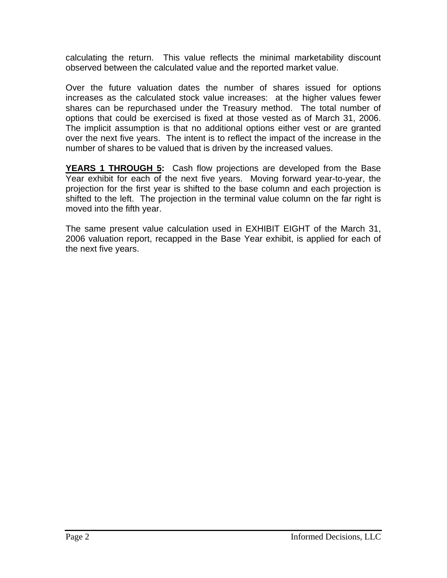calculating the return. This value reflects the minimal marketability discount observed between the calculated value and the reported market value.

Over the future valuation dates the number of shares issued for options increases as the calculated stock value increases: at the higher values fewer shares can be repurchased under the Treasury method. The total number of options that could be exercised is fixed at those vested as of March 31, 2006. The implicit assumption is that no additional options either vest or are granted over the next five years. The intent is to reflect the impact of the increase in the number of shares to be valued that is driven by the increased values.

**YEARS 1 THROUGH 5:** Cash flow projections are developed from the Base Year exhibit for each of the next five years. Moving forward year-to-year, the projection for the first year is shifted to the base column and each projection is shifted to the left. The projection in the terminal value column on the far right is moved into the fifth year.

The same present value calculation used in EXHIBIT EIGHT of the March 31, 2006 valuation report, recapped in the Base Year exhibit, is applied for each of the next five years.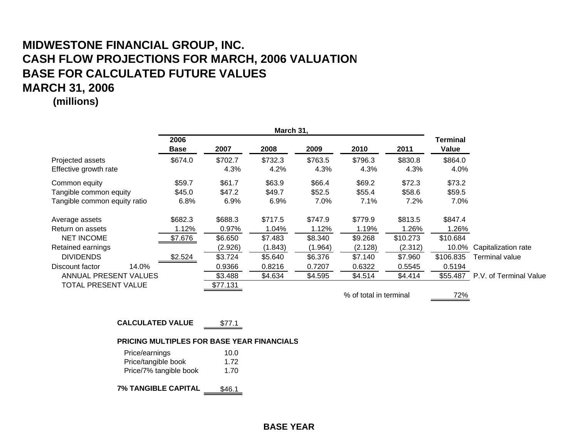**(millions)**

|                                                                                            | March 31,                   |                                         |                                         |                                         |                                         |                                         |                                          |                                                                 |
|--------------------------------------------------------------------------------------------|-----------------------------|-----------------------------------------|-----------------------------------------|-----------------------------------------|-----------------------------------------|-----------------------------------------|------------------------------------------|-----------------------------------------------------------------|
|                                                                                            | 2006<br><b>Base</b>         | 2007                                    | 2008                                    | 2009                                    | 2010                                    | 2011                                    | Terminal<br>Value                        |                                                                 |
| Projected assets<br>Effective growth rate                                                  | \$674.0                     | \$702.7<br>4.3%                         | \$732.3<br>4.2%                         | \$763.5<br>4.3%                         | \$796.3<br>4.3%                         | \$830.8<br>4.3%                         | \$864.0<br>4.0%                          |                                                                 |
| Common equity<br>Tangible common equity<br>Tangible common equity ratio                    | \$59.7<br>\$45.0<br>6.8%    | \$61.7<br>\$47.2<br>6.9%                | \$63.9<br>\$49.7<br>6.9%                | \$66.4<br>\$52.5<br>7.0%                | \$69.2<br>\$55.4<br>7.1%                | \$72.3<br>\$58.6<br>7.2%                | \$73.2<br>\$59.5<br>7.0%                 |                                                                 |
| Average assets<br>Return on assets<br><b>NET INCOME</b>                                    | \$682.3<br>1.12%<br>\$7.676 | \$688.3<br>0.97%<br>\$6.650             | \$717.5<br>1.04%<br>\$7.483             | \$747.9<br>1.12%<br>\$8.340             | \$779.9<br>1.19%<br>\$9.268             | \$813.5<br>1.26%<br>\$10.273            | \$847.4<br>1.26%<br>\$10.684             |                                                                 |
| Retained earnings<br><b>DIVIDENDS</b><br>14.0%<br>Discount factor<br>ANNUAL PRESENT VALUES | \$2.524                     | (2.926)<br>\$3.724<br>0.9366<br>\$3.488 | (1.843)<br>\$5.640<br>0.8216<br>\$4.634 | (1.964)<br>\$6.376<br>0.7207<br>\$4.595 | (2.128)<br>\$7.140<br>0.6322<br>\$4.514 | (2.312)<br>\$7.960<br>0.5545<br>\$4.414 | 10.0%<br>\$106.835<br>0.5194<br>\$55,487 | Capitalization rate<br>Terminal value<br>P.V. of Terminal Value |
| TOTAL PRESENT VALUE                                                                        |                             | \$77.131                                |                                         |                                         | % of total in terminal                  |                                         | 72%                                      |                                                                 |

**CALCULATED VALU E** $$77.1$ 

#### **PRICING MULTIPLES FOR BASE YEAR FINANCIALS**

| Price/earnings         | 10.0 |
|------------------------|------|
| Price/tangible book    | 1.72 |
| Price/7% tangible book | 1.70 |

**7% TANGIBLE CAPITA L** \$46.1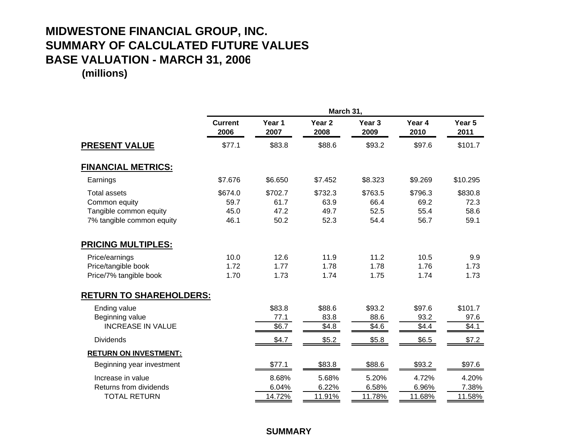# **MIDWESTONE FINANCIAL GROUP, INC. SUMMARY OF CALCULATED FUTURE VALUES BASE VALUATION - MARCH 31, 200 6**

**(millions)**

|                                                                                             | March 31,                       |                                 |                                 |                                 |                                 |                                 |  |  |
|---------------------------------------------------------------------------------------------|---------------------------------|---------------------------------|---------------------------------|---------------------------------|---------------------------------|---------------------------------|--|--|
|                                                                                             | <b>Current</b><br>2006          | Year 1<br>2007                  | Year <sub>2</sub><br>2008       | Year <sub>3</sub><br>2009       | Year 4<br>2010                  | Year 5<br>2011                  |  |  |
| <b>PRESENT VALUE</b>                                                                        | \$77.1                          | \$83.8                          | \$88.6                          | \$93.2                          | \$97.6                          | \$101.7                         |  |  |
| <b>FINANCIAL METRICS:</b>                                                                   |                                 |                                 |                                 |                                 |                                 |                                 |  |  |
| Earnings                                                                                    | \$7.676                         | \$6.650                         | \$7.452                         | \$8.323                         | \$9.269                         | \$10.295                        |  |  |
| <b>Total assets</b><br>Common equity<br>Tangible common equity<br>7% tangible common equity | \$674.0<br>59.7<br>45.0<br>46.1 | \$702.7<br>61.7<br>47.2<br>50.2 | \$732.3<br>63.9<br>49.7<br>52.3 | \$763.5<br>66.4<br>52.5<br>54.4 | \$796.3<br>69.2<br>55.4<br>56.7 | \$830.8<br>72.3<br>58.6<br>59.1 |  |  |
| <b>PRICING MULTIPLES:</b>                                                                   |                                 |                                 |                                 |                                 |                                 |                                 |  |  |
| Price/earnings<br>Price/tangible book<br>Price/7% tangible book                             | 10.0<br>1.72<br>1.70            | 12.6<br>1.77<br>1.73            | 11.9<br>1.78<br>1.74            | 11.2<br>1.78<br>1.75            | 10.5<br>1.76<br>1.74            | 9.9<br>1.73<br>1.73             |  |  |
| <b>RETURN TO SHAREHOLDERS:</b>                                                              |                                 |                                 |                                 |                                 |                                 |                                 |  |  |
| Ending value<br>Beginning value<br><b>INCREASE IN VALUE</b>                                 |                                 | \$83.8<br>77.1<br>\$6.7         | \$88.6<br>83.8<br>\$4.8         | \$93.2<br>88.6<br>\$4.6         | \$97.6<br>93.2<br>\$4.4         | \$101.7<br>97.6<br>\$4.1        |  |  |
| <b>Dividends</b>                                                                            |                                 | \$4.7                           | \$5.2                           | \$5.8                           | \$6.5                           | \$7.2                           |  |  |
| <b>RETURN ON INVESTMENT:</b>                                                                |                                 |                                 |                                 |                                 |                                 |                                 |  |  |
| Beginning year investment                                                                   |                                 | \$77.1                          | \$83.8                          | \$88.6                          | \$93.2                          | \$97.6                          |  |  |
| Increase in value<br>Returns from dividends<br><b>TOTAL RETURN</b>                          |                                 | 8.68%<br>6.04%<br>14.72%        | 5.68%<br>6.22%<br>11.91%        | 5.20%<br>6.58%<br>11.78%        | 4.72%<br>6.96%<br>11.68%        | 4.20%<br>7.38%<br>11.58%        |  |  |

**SUMMARY**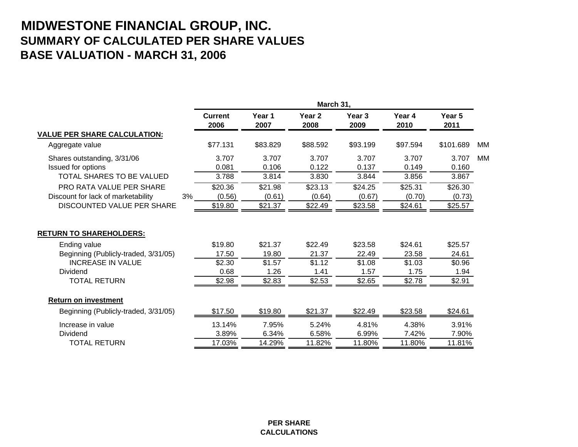# **MIDWESTONE FINANCIAL GROUP, INC. SUMMARY OF CALCULATED PER SHARE VALUES BASE VALUATION - MARCH 31, 2006**

|                                          | March 31,              |                |                           |                           |                |                |           |
|------------------------------------------|------------------------|----------------|---------------------------|---------------------------|----------------|----------------|-----------|
|                                          | <b>Current</b><br>2006 | Year 1<br>2007 | Year <sub>2</sub><br>2008 | Year <sub>3</sub><br>2009 | Year 4<br>2010 | Year 5<br>2011 |           |
| <b>VALUE PER SHARE CALCULATION:</b>      |                        |                |                           |                           |                |                |           |
| Aggregate value                          | \$77.131               | \$83.829       | \$88.592                  | \$93.199                  | \$97.594       | \$101.689      | <b>MM</b> |
| Shares outstanding, 3/31/06              | 3.707                  | 3.707          | 3.707                     | 3.707                     | 3.707          | 3.707          | <b>MM</b> |
| Issued for options                       | 0.081                  | 0.106          | 0.122                     | 0.137                     | 0.149          | 0.160          |           |
| <b>TOTAL SHARES TO BE VALUED</b>         | 3.788                  | 3.814          | 3.830                     | 3.844                     | 3.856          | 3.867          |           |
| <b>PRO RATA VALUE PER SHARE</b>          | \$20.36                | \$21.98        | \$23.13                   | \$24.25                   | \$25.31        | \$26.30        |           |
| 3%<br>Discount for lack of marketability | (0.56)                 | (0.61)         | (0.64)                    | (0.67)                    | (0.70)         | (0.73)         |           |
| DISCOUNTED VALUE PER SHARE               | \$19.80                | \$21.37        | \$22.49                   | \$23.58                   | \$24.61        | \$25.57        |           |
| <b>RETURN TO SHAREHOLDERS:</b>           |                        |                |                           |                           |                |                |           |
| Ending value                             | \$19.80                | \$21.37        | \$22.49                   | \$23.58                   | \$24.61        | \$25.57        |           |
| Beginning (Publicly-traded, 3/31/05)     | 17.50                  | 19.80          | 21.37                     | 22.49                     | 23.58          | 24.61          |           |
| <b>INCREASE IN VALUE</b>                 | \$2.30                 | \$1.57         | \$1.12                    | \$1.08                    | \$1.03         | \$0.96         |           |
| Dividend                                 | 0.68                   | 1.26           | 1.41                      | 1.57                      | 1.75           | 1.94           |           |
| <b>TOTAL RETURN</b>                      | \$2.98                 | \$2.83         | \$2.53                    | \$2.65                    | \$2.78         | \$2.91         |           |
| <b>Return on investment</b>              |                        |                |                           |                           |                |                |           |
| Beginning (Publicly-traded, 3/31/05)     | \$17.50                | \$19.80        | \$21.37                   | \$22.49                   | \$23.58        | \$24.61        |           |
| Increase in value                        | 13.14%                 | 7.95%          | 5.24%                     | 4.81%                     | 4.38%          | 3.91%          |           |
| Dividend                                 | 3.89%                  | 6.34%          | 6.58%                     | 6.99%                     | 7.42%          | 7.90%          |           |
| <b>TOTAL RETURN</b>                      | 17.03%                 | 14.29%         | 11.82%                    | 11.80%                    | 11.80%         | 11.81%         |           |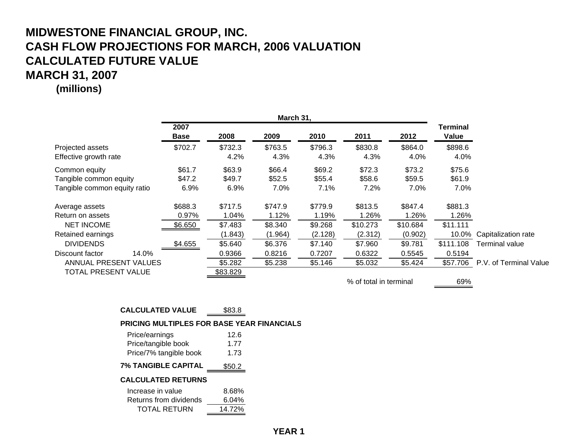**(millions)**

|                                           | March 31,           |                 |                 |                 |                        |                 |                   |                           |
|-------------------------------------------|---------------------|-----------------|-----------------|-----------------|------------------------|-----------------|-------------------|---------------------------|
|                                           | 2007<br><b>Base</b> | 2008            | 2009            | 2010            | 2011                   | 2012            | Terminal<br>Value |                           |
| Projected assets<br>Effective growth rate | \$702.7             | \$732.3<br>4.2% | \$763.5<br>4.3% | \$796.3<br>4.3% | \$830.8<br>4.3%        | \$864.0<br>4.0% | \$898.6<br>4.0%   |                           |
| Common equity                             | \$61.7              | \$63.9          | \$66.4          | \$69.2          | \$72.3                 | \$73.2          | \$75.6            |                           |
| Tangible common equity                    | \$47.2              | \$49.7          | \$52.5          | \$55.4          | \$58.6                 | \$59.5          | \$61.9            |                           |
| Tangible common equity ratio              | 6.9%                | $6.9\%$         | 7.0%            | 7.1%            | 7.2%                   | 7.0%            | 7.0%              |                           |
| Average assets                            | \$688.3             | \$717.5         | \$747.9         | \$779.9         | \$813.5                | \$847.4         | \$881.3           |                           |
| Return on assets                          | 0.97%               | 1.04%           | 1.12%           | 1.19%           | 1.26%                  | 1.26%           | 1.26%             |                           |
| <b>NET INCOME</b>                         | \$6.650             | \$7.483         | \$8.340         | \$9.268         | \$10.273               | \$10.684        | \$11.111          |                           |
| Retained earnings                         |                     | (1.843)         | (1.964)         | (2.128)         | (2.312)                | (0.902)         |                   | 10.0% Capitalization rate |
| <b>DIVIDENDS</b>                          | \$4.655             | \$5.640         | \$6.376         | \$7.140         | \$7.960                | \$9.781         | \$111.108         | Terminal value            |
| 14.0%<br>Discount factor                  |                     | 0.9366          | 0.8216          | 0.7207          | 0.6322                 | 0.5545          | 0.5194            |                           |
| ANNUAL PRESENT VALUES                     |                     | \$5.282         | \$5.238         | \$5.146         | \$5.032                | \$5.424         | \$57.706          | P.V. of Terminal Value    |
| TOTAL PRESENT VALUE                       |                     | \$83.829        |                 |                 |                        |                 |                   |                           |
|                                           |                     |                 |                 |                 | % of total in terminal |                 | 69%               |                           |

### **CALCULATED VALUE** \$83.8

**PRICING MULTIPLES FOR BASE YEAR FINANCIALS**

| Price/earnings            | 12.6   |
|---------------------------|--------|
| Price/tangible book       | 1.77   |
| Price/7% tangible book    | 1.73   |
| 7% TANGIBLE CAPITAL       | \$50.2 |
| <b>CALCULATED RETURNS</b> |        |
| Increase in value         | 8.68%  |
| Returns from dividends    | 6.04%  |

TOTAL RETURN 14.72%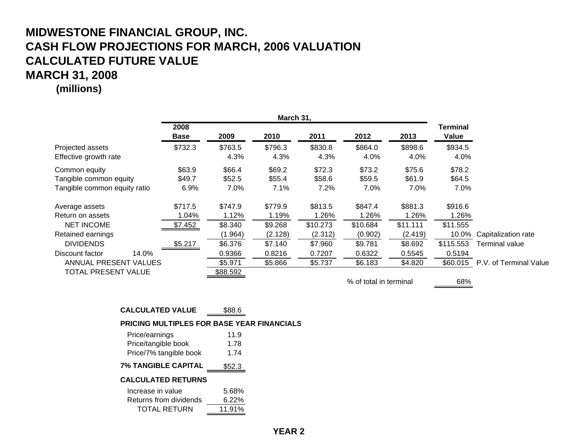**(millions)**

|                                                                         | March 31,                |                               |                               |                                |                                |                                |                          |                                             |
|-------------------------------------------------------------------------|--------------------------|-------------------------------|-------------------------------|--------------------------------|--------------------------------|--------------------------------|--------------------------|---------------------------------------------|
|                                                                         | 2008<br><b>Base</b>      | 2009                          | 2010                          | 2011                           | 2012                           | 2013                           | Terminal<br>Value        |                                             |
| Projected assets<br>Effective growth rate                               | \$732.3                  | \$763.5<br>4.3%               | \$796.3<br>4.3%               | \$830.8<br>4.3%                | \$864.0<br>4.0%                | \$898.6<br>4.0%                | \$934.5<br>4.0%          |                                             |
| Common equity<br>Tangible common equity<br>Tangible common equity ratio | \$63.9<br>\$49.7<br>6.9% | \$66.4<br>\$52.5<br>7.0%      | \$69.2<br>\$55.4<br>7.1%      | \$72.3<br>\$58.6<br>7.2%       | \$73.2<br>\$59.5<br>7.0%       | \$75.6<br>\$61.9<br>7.0%       | \$78.2<br>\$64.5<br>7.0% |                                             |
| Average assets<br>Return on assets                                      | \$717.5<br>1.04%         | \$747.9<br>1.12%              | \$779.9<br>1.19%              | \$813.5<br>1.26%               | \$847.4<br>1.26%               | \$881.3<br>1.26%               | \$916.6<br>1.26%         |                                             |
| <b>NET INCOME</b><br>Retained earnings<br><b>DIVIDENDS</b>              | \$7.452<br>\$5.217       | \$8.340<br>(1.964)<br>\$6.376 | \$9.268<br>(2.128)<br>\$7.140 | \$10.273<br>(2.312)<br>\$7.960 | \$10.684<br>(0.902)<br>\$9.781 | \$11.111<br>(2.419)<br>\$8.692 | \$11.555<br>\$115.553    | 10.0% Capitalization rate<br>Terminal value |
| 14.0%<br>Discount factor<br>ANNUAL PRESENT VALUES                       |                          | 0.9366<br>\$5.971             | 0.8216<br>\$5.866             | 0.7207<br>\$5.737              | 0.6322<br>\$6.183              | 0.5545<br>\$4.820              | 0.5194                   | \$60.015 P.V. of Terminal Value             |
| <b>TOTAL PRESENT VALUE</b>                                              |                          | \$88.592                      |                               |                                | % of total in terminal         |                                | 68%                      |                                             |

#### **CALCULATED VALUE** \$88.6

**PRICING MULTIPLES FOR BASE YEAR FINANCIALS**

| Price/earnings            | 11.9     |
|---------------------------|----------|
| Price/tangible book       | 1.78     |
| Price/7% tangible book    | 1.74     |
| 7% TANGIBLE CAPITAL       | \$52.3   |
| <b>CALCULATED RETURNS</b> |          |
| Increase in value         | 5.68%    |
| Returns from dividends    | $6.22\%$ |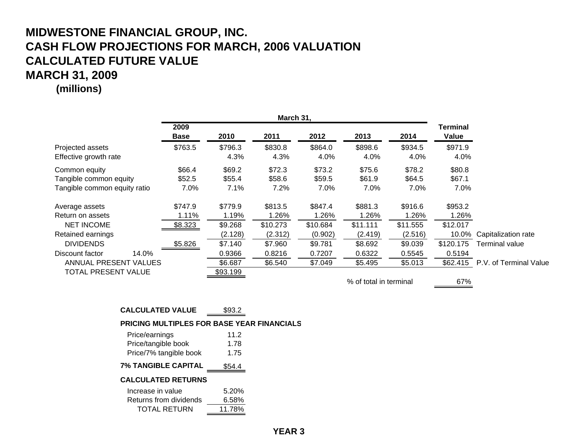**(millions)**

|                                                                                 | March 31,                |                               |                                |                                |                                |                                |                          |                                             |
|---------------------------------------------------------------------------------|--------------------------|-------------------------------|--------------------------------|--------------------------------|--------------------------------|--------------------------------|--------------------------|---------------------------------------------|
|                                                                                 | 2009<br><b>Base</b>      | 2010                          | 2011                           | 2012                           | 2013                           | 2014                           | Terminal<br>Value        |                                             |
| Projected assets<br>Effective growth rate                                       | \$763.5                  | \$796.3<br>4.3%               | \$830.8<br>4.3%                | \$864.0<br>4.0%                | \$898.6<br>4.0%                | \$934.5<br>4.0%                | \$971.9<br>4.0%          |                                             |
| Common equity<br>Tangible common equity<br>Tangible common equity ratio         | \$66.4<br>\$52.5<br>7.0% | \$69.2<br>\$55.4<br>7.1%      | \$72.3<br>\$58.6<br>7.2%       | \$73.2<br>\$59.5<br>7.0%       | \$75.6<br>\$61.9<br>7.0%       | \$78.2<br>\$64.5<br>7.0%       | \$80.8<br>\$67.1<br>7.0% |                                             |
| Average assets<br>Return on assets                                              | \$747.9<br>1.11%         | \$779.9<br>1.19%              | \$813.5<br>1.26%               | \$847.4<br>1.26%               | \$881.3<br>1.26%               | \$916.6<br>1.26%               | \$953.2<br>1.26%         |                                             |
| <b>NET INCOME</b><br>Retained earnings<br><b>DIVIDENDS</b>                      | \$8.323<br>\$5.826       | \$9.268<br>(2.128)<br>\$7.140 | \$10.273<br>(2.312)<br>\$7.960 | \$10.684<br>(0.902)<br>\$9.781 | \$11.111<br>(2.419)<br>\$8.692 | \$11.555<br>(2.516)<br>\$9.039 | \$12.017<br>\$120.175    | 10.0% Capitalization rate<br>Terminal value |
| 14.0%<br>Discount factor<br>ANNUAL PRESENT VALUES<br><b>TOTAL PRESENT VALUE</b> |                          | 0.9366<br>\$6.687<br>\$93.199 | 0.8216<br>\$6.540              | 0.7207<br>\$7.049              | 0.6322<br>\$5.495              | 0.5545<br>\$5.013              | 0.5194                   | \$62.415 P.V. of Terminal Value             |
|                                                                                 |                          |                               |                                |                                | % of total in terminal         |                                | 67%                      |                                             |

### **CALCULATED VALUE** \$93.2

**PRICING MULTIPLES FOR BASE YEAR FINANCIALS**

11.78%

| Price/earnings            | 11.2   |  |  |
|---------------------------|--------|--|--|
| Price/tangible book       | 1.78   |  |  |
| Price/7% tangible book    | 1.75   |  |  |
| 7% TANGIBLE CAPITAL       | \$54.4 |  |  |
| <b>CALCULATED RETURNS</b> |        |  |  |
| Increase in value         | 5.20%  |  |  |
| Returns from dividends    | 6.58%  |  |  |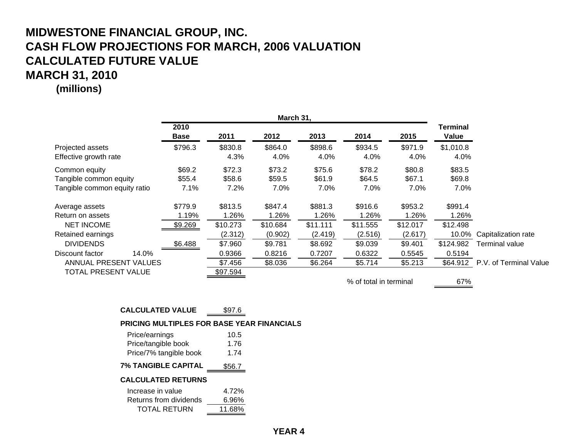**(millions)**

|                                              | March 31,           |                     |                    |                    |                        |                    |                    |                                              |
|----------------------------------------------|---------------------|---------------------|--------------------|--------------------|------------------------|--------------------|--------------------|----------------------------------------------|
|                                              | 2010<br><b>Base</b> | 2011                | 2012               | 2013               | 2014                   | 2015               | Terminal<br>Value  |                                              |
| Projected assets<br>Effective growth rate    | \$796.3             | \$830.8<br>4.3%     | \$864.0<br>4.0%    | \$898.6<br>4.0%    | \$934.5<br>4.0%        | \$971.9<br>4.0%    | \$1,010.8<br>4.0%  |                                              |
| Common equity<br>Tangible common equity      | \$69.2<br>\$55.4    | \$72.3<br>\$58.6    | \$73.2<br>\$59.5   | \$75.6<br>\$61.9   | \$78.2<br>\$64.5       | \$80.8<br>\$67.1   | \$83.5<br>\$69.8   |                                              |
| Tangible common equity ratio                 | 7.1%                | 7.2%                | 7.0%               | 7.0%               | 7.0%                   | 7.0%               | 7.0%               |                                              |
| Average assets                               | \$779.9             | \$813.5             | \$847.4            | \$881.3            | \$916.6                | \$953.2            | \$991.4            |                                              |
| Return on assets<br><b>NET INCOME</b>        | 1.19%<br>\$9.269    | 1.26%<br>\$10.273   | 1.26%<br>\$10.684  | 1.26%<br>\$11.111  | 1.26%<br>\$11.555      | 1.26%<br>\$12.017  | 1.26%<br>\$12.498  |                                              |
| Retained earnings<br><b>DIVIDENDS</b>        | \$6.488             | (2.312)<br>\$7.960  | (0.902)<br>\$9.781 | (2.419)<br>\$8.692 | (2.516)<br>\$9.039     | (2.617)<br>\$9.401 | 10.0%<br>\$124.982 | Capitalization rate<br><b>Terminal value</b> |
| 14.0%<br>Discount factor                     |                     | 0.9366              | 0.8216             | 0.7207             | 0.6322                 | 0.5545             | 0.5194             |                                              |
| ANNUAL PRESENT VALUES<br>TOTAL PRESENT VALUE |                     | \$7.456<br>\$97.594 | \$8.036            | \$6.264            | \$5.714                | \$5.213            |                    | \$64.912 P.V. of Terminal Value              |
|                                              |                     |                     |                    |                    | % of total in terminal |                    | 67%                |                                              |

### **CALCULATED VALUE** \$97.6

**PRICING MULTIPLES FOR BASE YEAR FINANCIALS**

11.68%

| Price/earnings<br>Price/tangible book | 10.5<br>1.76 |
|---------------------------------------|--------------|
| Price/7% tangible book                | 1.74         |
| <b>7% TANGIBLE CAPITAL</b>            | \$56.7       |
| <b>CALCULATED RETURNS</b>             |              |
| Increase in value                     | 4.72%        |
| Returns from dividends                | 6.96%        |